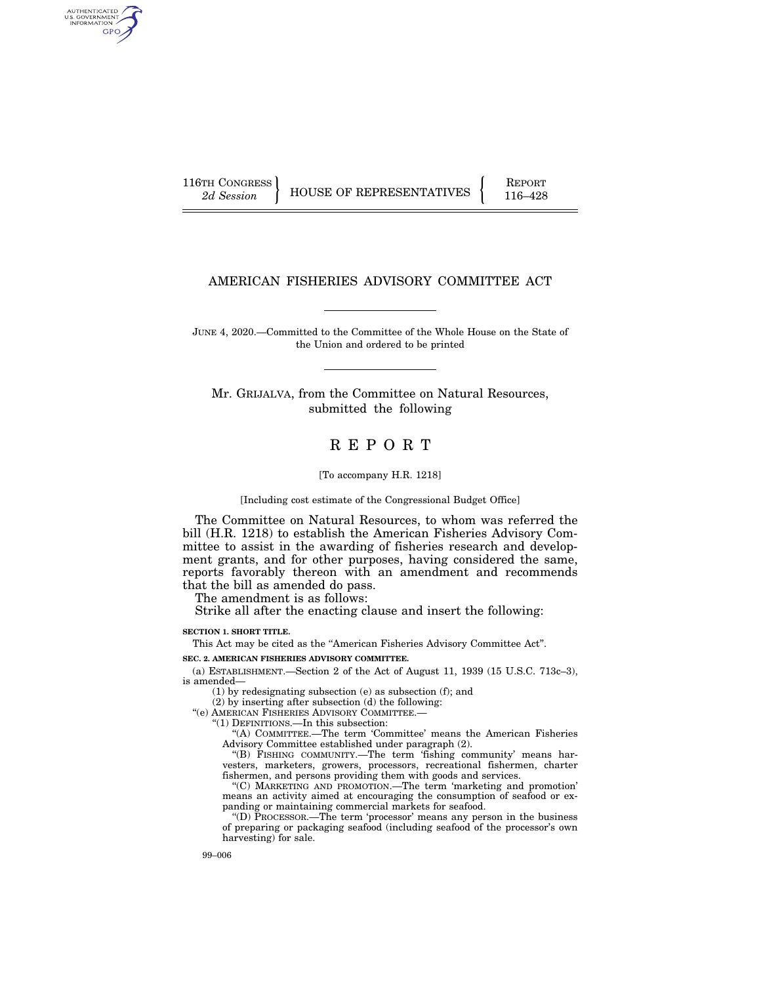AUTHENTICATED U.S. GOVERNMENT GPO

116TH CONGRESS HOUSE OF REPRESENTATIVES FEPORT 116–428

# AMERICAN FISHERIES ADVISORY COMMITTEE ACT

JUNE 4, 2020.—Committed to the Committee of the Whole House on the State of the Union and ordered to be printed

Mr. GRIJALVA, from the Committee on Natural Resources, submitted the following

# R E P O R T

#### [To accompany H.R. 1218]

[Including cost estimate of the Congressional Budget Office]

The Committee on Natural Resources, to whom was referred the bill (H.R. 1218) to establish the American Fisheries Advisory Committee to assist in the awarding of fisheries research and development grants, and for other purposes, having considered the same, reports favorably thereon with an amendment and recommends that the bill as amended do pass.

The amendment is as follows:

Strike all after the enacting clause and insert the following:

**SECTION 1. SHORT TITLE.** 

This Act may be cited as the ''American Fisheries Advisory Committee Act''.

**SEC. 2. AMERICAN FISHERIES ADVISORY COMMITTEE.** 

(a) ESTABLISHMENT.—Section 2 of the Act of August 11, 1939 (15 U.S.C. 713c–3), is amended—

(1) by redesignating subsection (e) as subsection (f); and

(2) by inserting after subsection (d) the following:

''(e) AMERICAN FISHERIES ADVISORY COMMITTEE.—

''(1) DEFINITIONS.—In this subsection:

''(A) COMMITTEE.—The term 'Committee' means the American Fisheries Advisory Committee established under paragraph (2).

"(B) FISHING COMMUNITY.—The term 'fishing community' means harvesters, marketers, growers, processors, recreational fishermen, charter fishermen, and persons providing them with goods and services.

''(C) MARKETING AND PROMOTION.—The term 'marketing and promotion' means an activity aimed at encouraging the consumption of seafood or expanding or maintaining commercial markets for seafood.

''(D) PROCESSOR.—The term 'processor' means any person in the business of preparing or packaging seafood (including seafood of the processor's own harvesting) for sale.

99–006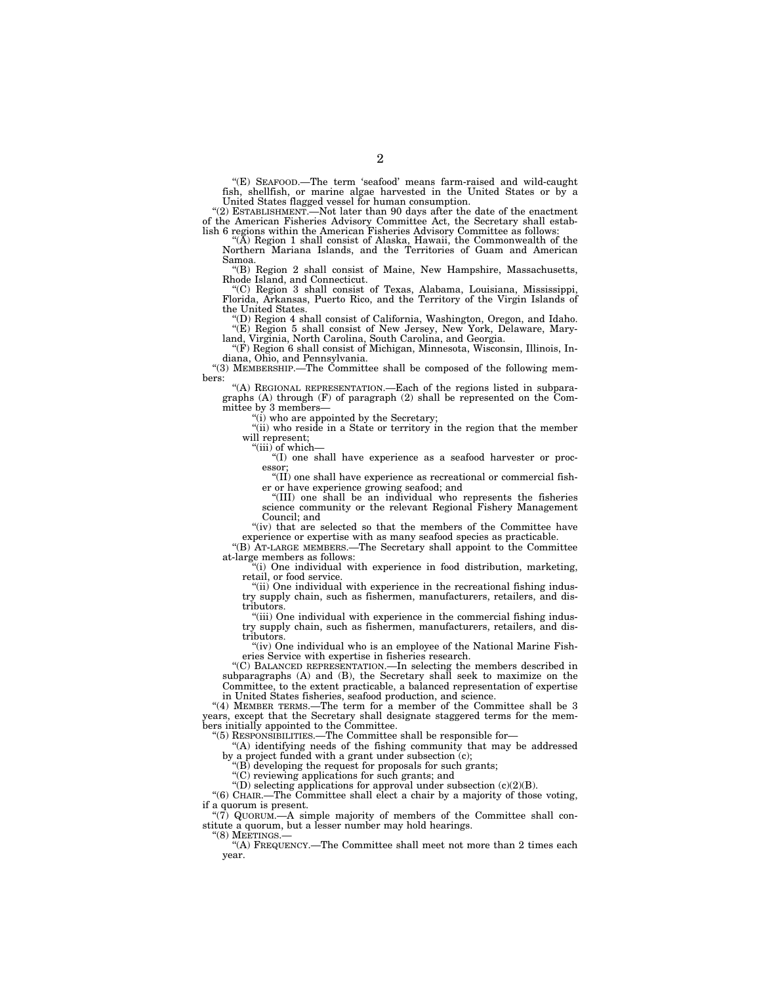''(E) SEAFOOD.—The term 'seafood' means farm-raised and wild-caught fish, shellfish, or marine algae harvested in the United States or by a United States flagged vessel for human consumption.

''(2) ESTABLISHMENT.—Not later than 90 days after the date of the enactment of the American Fisheries Advisory Committee Act, the Secretary shall establish 6 regions within the American Fisheries Advisory Committee as follows:

"(A) Region 1 shall consist of Alaska, Hawaii, the Commonwealth of the Northern Mariana Islands, and the Territories of Guam and American Samoa.

''(B) Region 2 shall consist of Maine, New Hampshire, Massachusetts, Rhode Island, and Connecticut.

''(C) Region 3 shall consist of Texas, Alabama, Louisiana, Mississippi, Florida, Arkansas, Puerto Rico, and the Territory of the Virgin Islands of

the United States. ''(D) Region 4 shall consist of California, Washington, Oregon, and Idaho.

''(E) Region 5 shall consist of New Jersey, New York, Delaware, Mary-land, Virginia, North Carolina, South Carolina, and Georgia. ''(F) Region 6 shall consist of Michigan, Minnesota, Wisconsin, Illinois, In-

diana, Ohio, and Pennsylvania.

''(3) MEMBERSHIP.—The Committee shall be composed of the following members:

''(A) REGIONAL REPRESENTATION.—Each of the regions listed in subparagraphs (A) through (F) of paragraph (2) shall be represented on the Committee by 3 members-

"(i) who are appointed by the Secretary;

''(ii) who reside in a State or territory in the region that the member will represent;

''(iii) of which—

''(I) one shall have experience as a seafood harvester or processor;

''(II) one shall have experience as recreational or commercial fisher or have experience growing seafood; and

''(III) one shall be an individual who represents the fisheries science community or the relevant Regional Fishery Management Council; and

"(iv) that are selected so that the members of the Committee have experience or expertise with as many seafood species as practicable.

''(B) AT-LARGE MEMBERS.—The Secretary shall appoint to the Committee at-large members as follows:

''(i) One individual with experience in food distribution, marketing, retail, or food service.

"(ii) One individual with experience in the recreational fishing industry supply chain, such as fishermen, manufacturers, retailers, and distributors.

"(iii) One individual with experience in the commercial fishing industry supply chain, such as fishermen, manufacturers, retailers, and distributors.

"(iv) One individual who is an employee of the National Marine Fisheries Service with expertise in fisheries research.

''(C) BALANCED REPRESENTATION.—In selecting the members described in subparagraphs (A) and (B), the Secretary shall seek to maximize on the Committee, to the extent practicable, a balanced representation of expertise in United States fisheries, seafood production, and science.

''(4) MEMBER TERMS.—The term for a member of the Committee shall be 3 years, except that the Secretary shall designate staggered terms for the members initially appointed to the Committee.

''(5) RESPONSIBILITIES.—The Committee shall be responsible for—

''(A) identifying needs of the fishing community that may be addressed by a project funded with a grant under subsection (c);

''(B) developing the request for proposals for such grants;

''(C) reviewing applications for such grants; and

''(D) selecting applications for approval under subsection (c)(2)(B).

''(6) CHAIR.—The Committee shall elect a chair by a majority of those voting, if a quorum is present.

''(7) QUORUM.—A simple majority of members of the Committee shall constitute a quorum, but a lesser number may hold hearings.

''(8) MEETINGS.—

''(A) FREQUENCY.—The Committee shall meet not more than 2 times each year.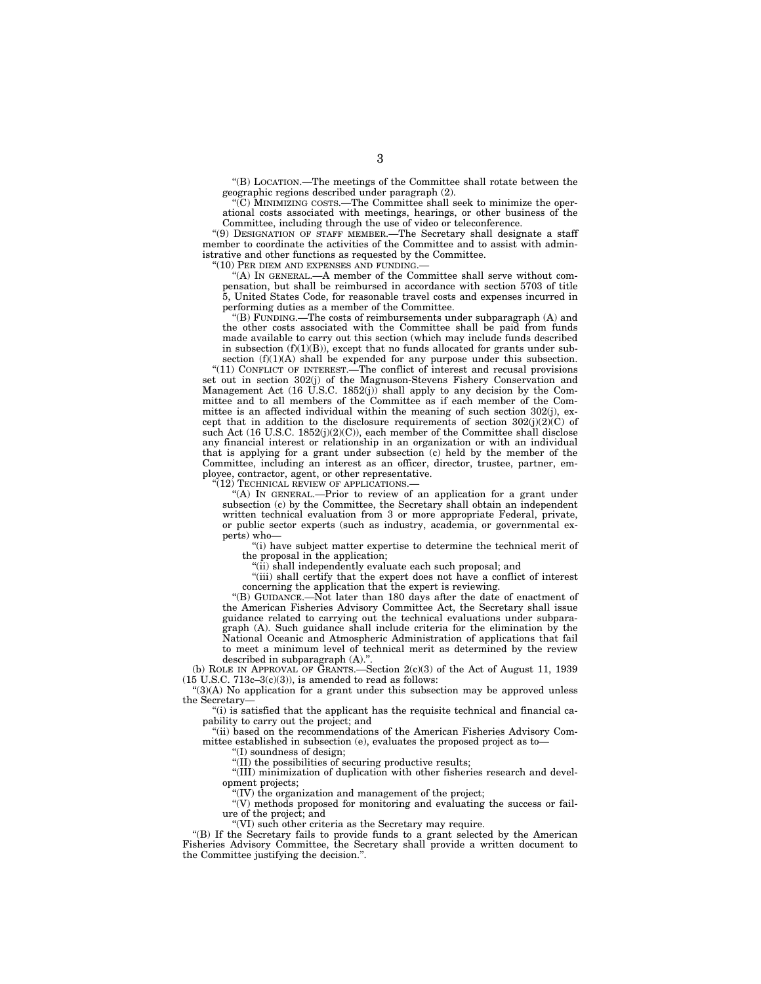''(B) LOCATION.—The meetings of the Committee shall rotate between the geographic regions described under paragraph (2).

''(C) MINIMIZING COSTS.—The Committee shall seek to minimize the operational costs associated with meetings, hearings, or other business of the Committee, including through the use of video or teleconference.

''(9) DESIGNATION OF STAFF MEMBER.—The Secretary shall designate a staff member to coordinate the activities of the Committee and to assist with administrative and other functions as requested by the Committee.

"(10) PER DIEM AND EXPENSES AND FUNDING.-

''(A) IN GENERAL.—A member of the Committee shall serve without compensation, but shall be reimbursed in accordance with section 5703 of title 5, United States Code, for reasonable travel costs and expenses incurred in performing duties as a member of the Committee.

''(B) FUNDING.—The costs of reimbursements under subparagraph (A) and the other costs associated with the Committee shall be paid from funds made available to carry out this section (which may include funds described in subsection  $(f)(1)(B)$ , except that no funds allocated for grants under subsection  $(f)(1)(A)$  shall be expended for any purpose under this subsection.

''(11) CONFLICT OF INTEREST.—The conflict of interest and recusal provisions set out in section 302(j) of the Magnuson-Stevens Fishery Conservation and Management Act (16 U.S.C. 1852(j)) shall apply to any decision by the Committee and to all members of the Committee as if each member of the Committee is an affected individual within the meaning of such section 302(j), except that in addition to the disclosure requirements of section  $302(j)(2)(C)$  of such Act (16 U.S.C. 1852(j)(2)(C)), each member of the Committee shall disclose any financial interest or relationship in an organization or with an individual that is applying for a grant under subsection (c) held by the member of the Committee, including an interest as an officer, director, trustee, partner, employee, contractor, agent, or other representative.

'(12) TECHNICAL REVIEW OF APPLICATIONS.

''(A) IN GENERAL.—Prior to review of an application for a grant under subsection (c) by the Committee, the Secretary shall obtain an independent written technical evaluation from 3 or more appropriate Federal, private, or public sector experts (such as industry, academia, or governmental experts) who—

''(i) have subject matter expertise to determine the technical merit of the proposal in the application;

''(ii) shall independently evaluate each such proposal; and

''(iii) shall certify that the expert does not have a conflict of interest concerning the application that the expert is reviewing.

''(B) GUIDANCE.—Not later than 180 days after the date of enactment of the American Fisheries Advisory Committee Act, the Secretary shall issue guidance related to carrying out the technical evaluations under subparagraph (A). Such guidance shall include criteria for the elimination by the National Oceanic and Atmospheric Administration of applications that fail to meet a minimum level of technical merit as determined by the review described in subparagraph  $(A)$ ."

(b) ROLE IN APPROVAL OF GRANTS.—Section  $2(c)(3)$  of the Act of August 11, 1939  $(15 \text{ U.S.C. } 713c-3(c)(3))$ , is amended to read as follows:

''(3)(A) No application for a grant under this subsection may be approved unless the Secretary—

''(i) is satisfied that the applicant has the requisite technical and financial capability to carry out the project; and

"(ii) based on the recommendations of the American Fisheries Advisory Committee established in subsection (e), evaluates the proposed project as to—

''(I) soundness of design;

''(II) the possibilities of securing productive results;

''(III) minimization of duplication with other fisheries research and development projects;

(IV) the organization and management of the project;

 $\sqrt{\rm w}$  methods proposed for monitoring and evaluating the success or failure of the project; and

''(VI) such other criteria as the Secretary may require.

''(B) If the Secretary fails to provide funds to a grant selected by the American Fisheries Advisory Committee, the Secretary shall provide a written document to the Committee justifying the decision.''.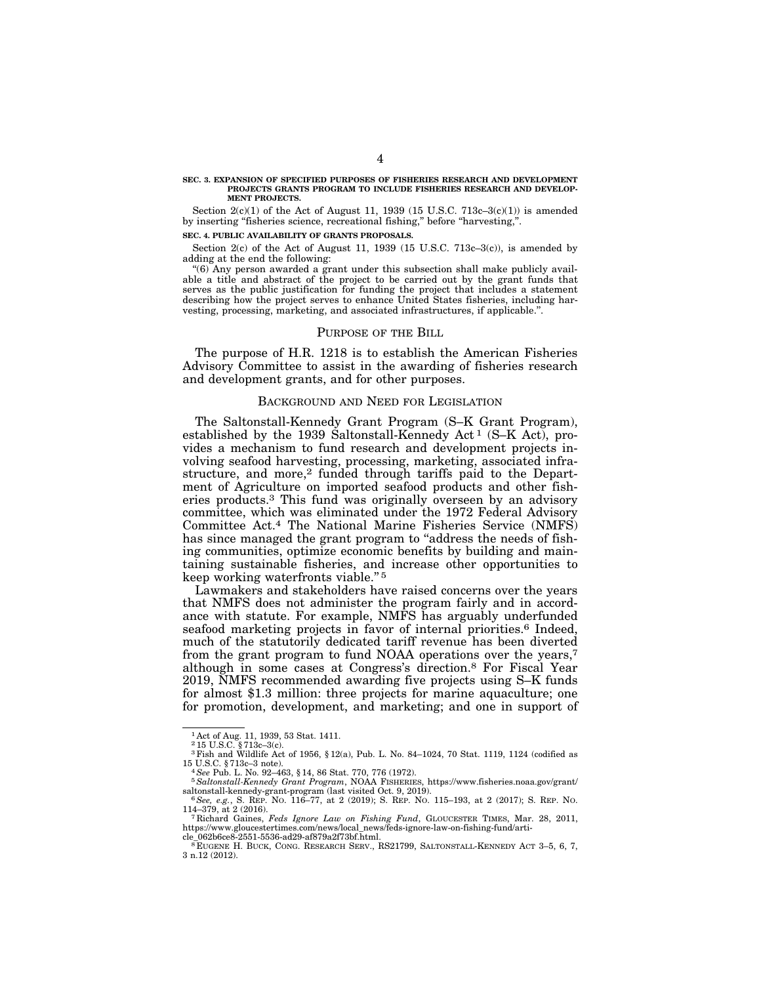#### **SEC. 3. EXPANSION OF SPECIFIED PURPOSES OF FISHERIES RESEARCH AND DEVELOPMENT PROJECTS GRANTS PROGRAM TO INCLUDE FISHERIES RESEARCH AND DEVELOP-MENT PROJECTS.**

Section  $2(c)(1)$  of the Act of August 11, 1939 (15 U.S.C. 713c–3(c)(1)) is amended by inserting "fisheries science, recreational fishing," before "harvesting,"

#### **SEC. 4. PUBLIC AVAILABILITY OF GRANTS PROPOSALS.**

Section  $2(c)$  of the Act of August 11, 1939 (15 U.S.C. 713c–3 $(c)$ ), is amended by adding at the end the following:

''(6) Any person awarded a grant under this subsection shall make publicly available a title and abstract of the project to be carried out by the grant funds that serves as the public justification for funding the project that includes a statement describing how the project serves to enhance United States fisheries, including harvesting, processing, marketing, and associated infrastructures, if applicable.''.

#### PURPOSE OF THE BILL

The purpose of H.R. 1218 is to establish the American Fisheries Advisory Committee to assist in the awarding of fisheries research and development grants, and for other purposes.

### BACKGROUND AND NEED FOR LEGISLATION

The Saltonstall-Kennedy Grant Program (S–K Grant Program), established by the 1939 Saltonstall-Kennedy Act<sup>1</sup> (S–K Act), provides a mechanism to fund research and development projects involving seafood harvesting, processing, marketing, associated infrastructure, and more,<sup>2</sup> funded through tariffs paid to the Department of Agriculture on imported seafood products and other fisheries products.3 This fund was originally overseen by an advisory committee, which was eliminated under the 1972 Federal Advisory Committee Act.4 The National Marine Fisheries Service (NMFS) has since managed the grant program to "address the needs of fishing communities, optimize economic benefits by building and maintaining sustainable fisheries, and increase other opportunities to keep working waterfronts viable.'' 5

Lawmakers and stakeholders have raised concerns over the years that NMFS does not administer the program fairly and in accordance with statute. For example, NMFS has arguably underfunded seafood marketing projects in favor of internal priorities.<sup>6</sup> Indeed, much of the statutorily dedicated tariff revenue has been diverted from the grant program to fund NOAA operations over the years,<sup>7</sup> although in some cases at Congress's direction.8 For Fiscal Year 2019, NMFS recommended awarding five projects using S–K funds for almost \$1.3 million: three projects for marine aquaculture; one for promotion, development, and marketing; and one in support of

<sup>1</sup> Act of Aug. 11, 1939, 53 Stat. 1411. 2 15 U.S.C. § 713c–3(c).

 $^3$  Fish and Wildlife Act of 1956,  $\S 12(a)$ , Pub. L. No. 84–1024, 70 Stat. 1119, 1124 (codified as  $^4$  See Pub. L. No. 92–463,  $\S 14$ , 86 Stat. 770, 776 (1972).

<sup>15</sup> U.S.C. § 713c–3 note). 4*See* Pub. L. No. 92–463, § 14, 86 Stat. 770, 776 (1972). 5*Saltonstall-Kennedy Grant Program*, NOAA FISHERIES, https://www.fisheries.noaa.gov/grant/

<sup>&</sup>lt;sup>6</sup> See, e.g., S. REP. No. 116–77, at 2 (2019); S. REP. No. 115–193, at 2 (2017); S. REP. No. 114–379, at 2 (2016). <sup>7</sup> Richard Gaines, *Feds Ignore Law on Fishing Fund*, GLOUCESTER TIMES, Mar. 28, 2011,

https://www.gloucestertimes.com/news/local\_news/feds-ignore-law-on-fishing-fund/arti-cle\_062b6ce8-2551-5536-ad29-af879a2f73bf.html.

 ${}^8$ EUGENE H. BUCK, CONG. RESEARCH SERV., RS21799, SALTONSTALL-KENNEDY ACT 3-5, 6, 7, 3 n.12 (2012).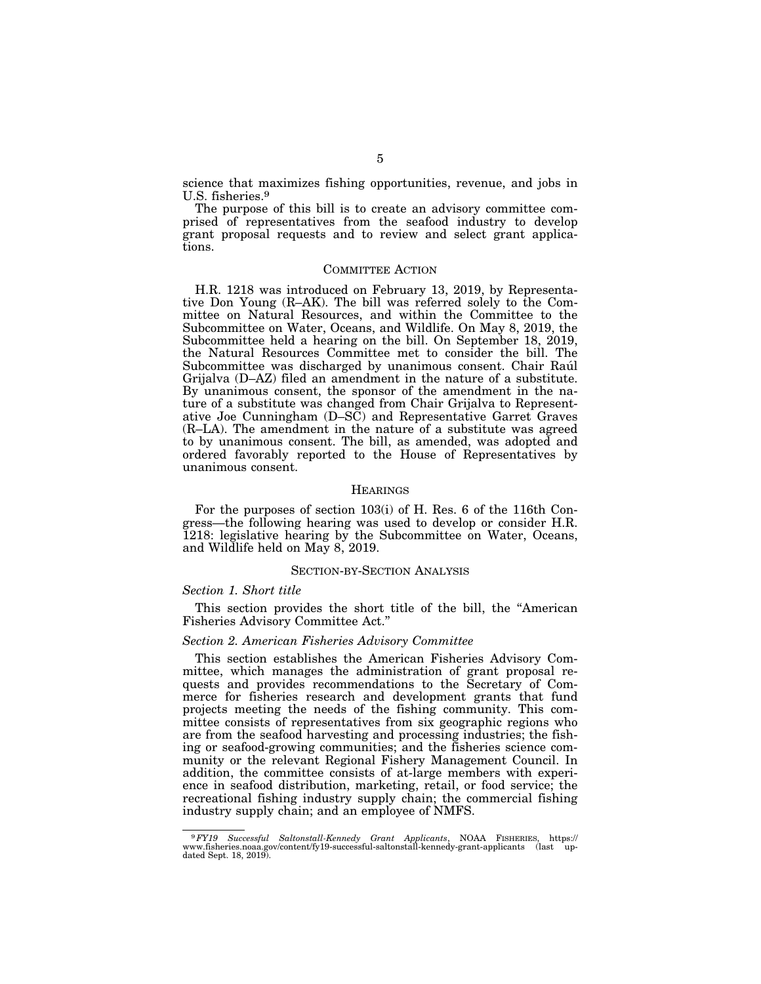science that maximizes fishing opportunities, revenue, and jobs in U.S. fisheries.9

The purpose of this bill is to create an advisory committee comprised of representatives from the seafood industry to develop grant proposal requests and to review and select grant applications.

### COMMITTEE ACTION

H.R. 1218 was introduced on February 13, 2019, by Representative Don Young (R–AK). The bill was referred solely to the Committee on Natural Resources, and within the Committee to the Subcommittee on Water, Oceans, and Wildlife. On May 8, 2019, the Subcommittee held a hearing on the bill. On September 18, 2019, the Natural Resources Committee met to consider the bill. The Subcommittee was discharged by unanimous consent. Chair Rau<sup>l</sup> Grijalva (D–AZ) filed an amendment in the nature of a substitute. By unanimous consent, the sponsor of the amendment in the nature of a substitute was changed from Chair Grijalva to Representative Joe Cunningham (D–SC) and Representative Garret Graves (R–LA). The amendment in the nature of a substitute was agreed to by unanimous consent. The bill, as amended, was adopted and ordered favorably reported to the House of Representatives by unanimous consent.

### **HEARINGS**

For the purposes of section 103(i) of H. Res. 6 of the 116th Congress—the following hearing was used to develop or consider H.R. 1218: legislative hearing by the Subcommittee on Water, Oceans, and Wildlife held on May 8, 2019.

### SECTION-BY-SECTION ANALYSIS

### *Section 1. Short title*

This section provides the short title of the bill, the ''American Fisheries Advisory Committee Act.''

#### *Section 2. American Fisheries Advisory Committee*

This section establishes the American Fisheries Advisory Committee, which manages the administration of grant proposal requests and provides recommendations to the Secretary of Commerce for fisheries research and development grants that fund projects meeting the needs of the fishing community. This committee consists of representatives from six geographic regions who are from the seafood harvesting and processing industries; the fishing or seafood-growing communities; and the fisheries science community or the relevant Regional Fishery Management Council. In addition, the committee consists of at-large members with experience in seafood distribution, marketing, retail, or food service; the recreational fishing industry supply chain; the commercial fishing industry supply chain; and an employee of NMFS.

<sup>9</sup>*FY19 Successful Saltonstall-Kennedy Grant Applicants*, NOAA FISHERIES, https:// www.fisheries.noaa.gov/content/fy19-successful-saltonstall-kennedy-grant-applicants (last up-dated Sept. 18, 2019).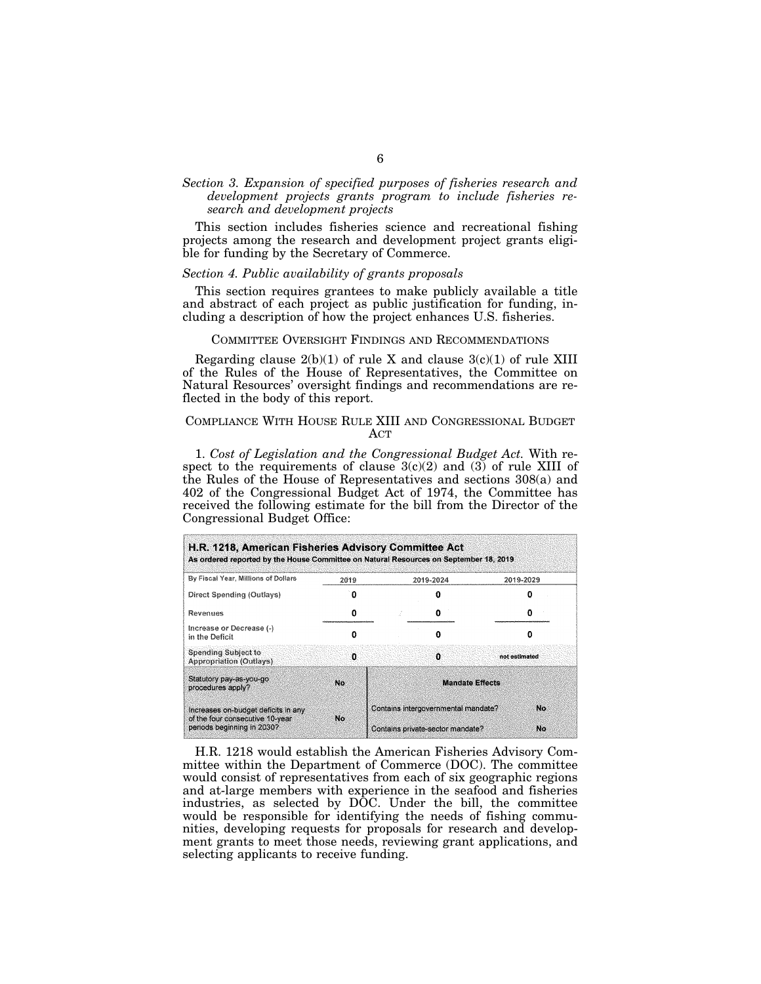## *Section 3. Expansion of specified purposes of fisheries research and development projects grants program to include fisheries research and development projects*

This section includes fisheries science and recreational fishing projects among the research and development project grants eligible for funding by the Secretary of Commerce.

### *Section 4. Public availability of grants proposals*

This section requires grantees to make publicly available a title and abstract of each project as public justification for funding, including a description of how the project enhances U.S. fisheries.

### COMMITTEE OVERSIGHT FINDINGS AND RECOMMENDATIONS

Regarding clause  $2(b)(1)$  of rule X and clause  $3(c)(1)$  of rule XIII of the Rules of the House of Representatives, the Committee on Natural Resources' oversight findings and recommendations are reflected in the body of this report.

## COMPLIANCE WITH HOUSE RULE XIII AND CONGRESSIONAL BUDGET ACT

1. *Cost of Legislation and the Congressional Budget Act.* With respect to the requirements of clause  $3(c)(2)$  and  $(3)$  of rule XIII of the Rules of the House of Representatives and sections 308(a) and 402 of the Congressional Budget Act of 1974, the Committee has received the following estimate for the bill from the Director of the Congressional Budget Office:

| H.R. 1218, American Fisheries Advisory Committee Act<br>As ordered reported by the House Committee on Natural Resources on September 18, 2019 |      |                                                                                     |           |               |
|-----------------------------------------------------------------------------------------------------------------------------------------------|------|-------------------------------------------------------------------------------------|-----------|---------------|
| By Fiscal Year, Millions of Dollars                                                                                                           | 2019 |                                                                                     | 2019-2024 | 2019-2029     |
| Direct Spending (Outlays)                                                                                                                     | o    |                                                                                     |           |               |
| Revenues                                                                                                                                      | o    |                                                                                     | o         |               |
| Increase or Decrease (-)<br>in the Deficit                                                                                                    |      |                                                                                     | Ω         |               |
| Spending Subject to<br><b>Appropriation (Outlays)</b>                                                                                         | o    |                                                                                     | o         | not estimated |
| Statutory pay-as-you-go<br>procedures apply?                                                                                                  | No.  | <b>Mandate Effects</b>                                                              |           |               |
| Increases on-budget deficits in any<br>of the four consecutive 10-year<br>periods beginning in 2030?                                          | No.  | Contains intergovernmental mandate?<br>No<br>No<br>Contains private-sector mandate? |           |               |

H.R. 1218 would establish the American Fisheries Advisory Committee within the Department of Commerce (DOC). The committee would consist of representatives from each of six geographic regions and at-large members with experience in the seafood and fisheries industries, as selected by DOC. Under the bill, the committee would be responsible for identifying the needs of fishing communities, developing requests for proposals for research and development grants to meet those needs, reviewing grant applications, and selecting applicants to receive funding.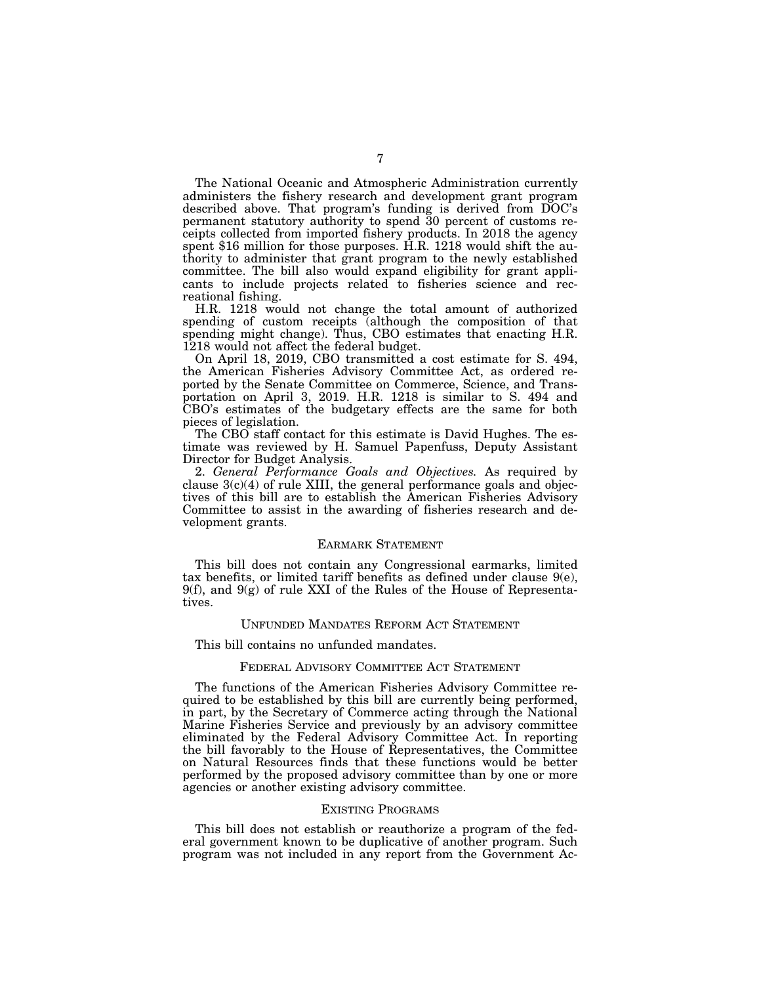The National Oceanic and Atmospheric Administration currently administers the fishery research and development grant program described above. That program's funding is derived from DOC's permanent statutory authority to spend 30 percent of customs receipts collected from imported fishery products. In 2018 the agency spent \$16 million for those purposes. H.R. 1218 would shift the authority to administer that grant program to the newly established committee. The bill also would expand eligibility for grant applicants to include projects related to fisheries science and recreational fishing.

H.R. 1218 would not change the total amount of authorized spending of custom receipts (although the composition of that spending might change). Thus, CBO estimates that enacting H.R. 1218 would not affect the federal budget.

On April 18, 2019, CBO transmitted a cost estimate for S. 494, the American Fisheries Advisory Committee Act, as ordered reported by the Senate Committee on Commerce, Science, and Transportation on April 3, 2019. H.R. 1218 is similar to S. 494 and CBO's estimates of the budgetary effects are the same for both pieces of legislation.

The CBO staff contact for this estimate is David Hughes. The estimate was reviewed by H. Samuel Papenfuss, Deputy Assistant Director for Budget Analysis.

2. *General Performance Goals and Objectives.* As required by clause 3(c)(4) of rule XIII, the general performance goals and objectives of this bill are to establish the American Fisheries Advisory Committee to assist in the awarding of fisheries research and development grants.

### EARMARK STATEMENT

This bill does not contain any Congressional earmarks, limited tax benefits, or limited tariff benefits as defined under clause 9(e),  $9(f)$ , and  $9(g)$  of rule XXI of the Rules of the House of Representatives.

### UNFUNDED MANDATES REFORM ACT STATEMENT

This bill contains no unfunded mandates.

### FEDERAL ADVISORY COMMITTEE ACT STATEMENT

The functions of the American Fisheries Advisory Committee required to be established by this bill are currently being performed, in part, by the Secretary of Commerce acting through the National Marine Fisheries Service and previously by an advisory committee eliminated by the Federal Advisory Committee Act. In reporting the bill favorably to the House of Representatives, the Committee on Natural Resources finds that these functions would be better performed by the proposed advisory committee than by one or more agencies or another existing advisory committee.

#### EXISTING PROGRAMS

This bill does not establish or reauthorize a program of the federal government known to be duplicative of another program. Such program was not included in any report from the Government Ac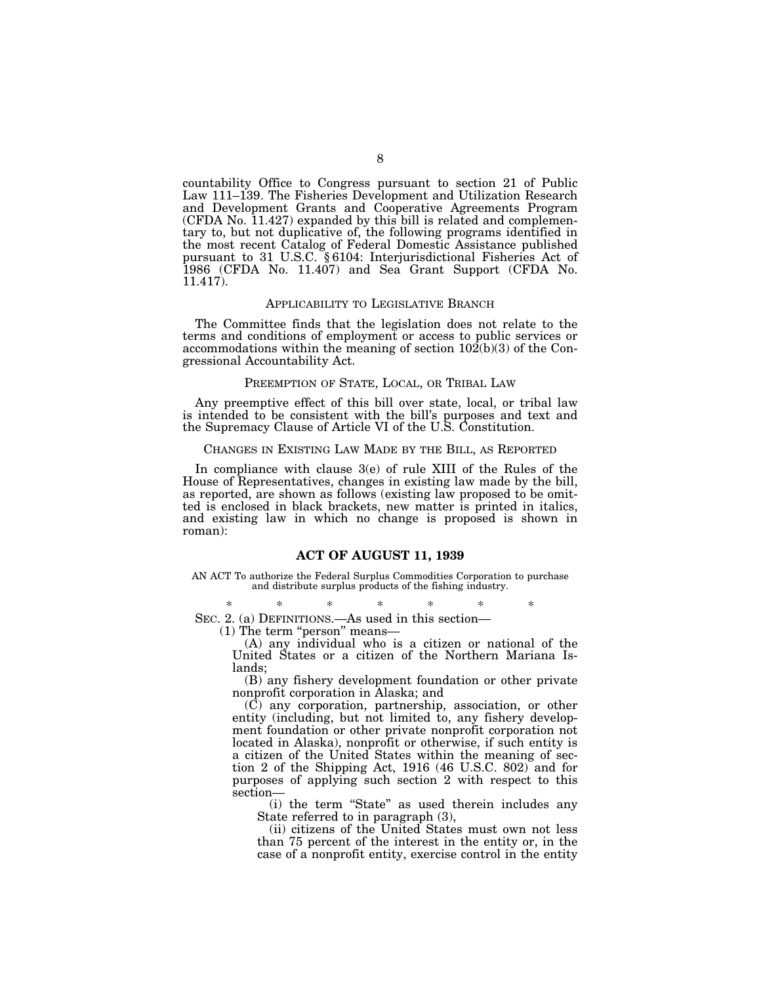countability Office to Congress pursuant to section 21 of Public Law 111–139. The Fisheries Development and Utilization Research and Development Grants and Cooperative Agreements Program (CFDA No. 11.427) expanded by this bill is related and complementary to, but not duplicative of, the following programs identified in the most recent Catalog of Federal Domestic Assistance published pursuant to 31 U.S.C. § 6104: Interjurisdictional Fisheries Act of 1986 (CFDA No. 11.407) and Sea Grant Support (CFDA No. 11.417).

#### APPLICABILITY TO LEGISLATIVE BRANCH

The Committee finds that the legislation does not relate to the terms and conditions of employment or access to public services or accommodations within the meaning of section  $10\overline{2}(b)(3)$  of the Congressional Accountability Act.

### PREEMPTION OF STATE, LOCAL, OR TRIBAL LAW

Any preemptive effect of this bill over state, local, or tribal law is intended to be consistent with the bill's purposes and text and the Supremacy Clause of Article VI of the U.S. Constitution.

### CHANGES IN EXISTING LAW MADE BY THE BILL, AS REPORTED

In compliance with clause 3(e) of rule XIII of the Rules of the House of Representatives, changes in existing law made by the bill, as reported, are shown as follows (existing law proposed to be omitted is enclosed in black brackets, new matter is printed in italics, and existing law in which no change is proposed is shown in roman):

### **ACT OF AUGUST 11, 1939**

AN ACT To authorize the Federal Surplus Commodities Corporation to purchase and distribute surplus products of the fishing industry.

\* \* \* \* \* \* \* SEC. 2. (a) DEFINITIONS.—As used in this section—

(1) The term "person" means-

(A) any individual who is a citizen or national of the United States or a citizen of the Northern Mariana Islands;

(B) any fishery development foundation or other private nonprofit corporation in Alaska; and

(C) any corporation, partnership, association, or other entity (including, but not limited to, any fishery development foundation or other private nonprofit corporation not located in Alaska), nonprofit or otherwise, if such entity is a citizen of the United States within the meaning of section 2 of the Shipping Act, 1916 (46 U.S.C. 802) and for purposes of applying such section 2 with respect to this section—

(i) the term ''State'' as used therein includes any State referred to in paragraph (3),

(ii) citizens of the United States must own not less than 75 percent of the interest in the entity or, in the case of a nonprofit entity, exercise control in the entity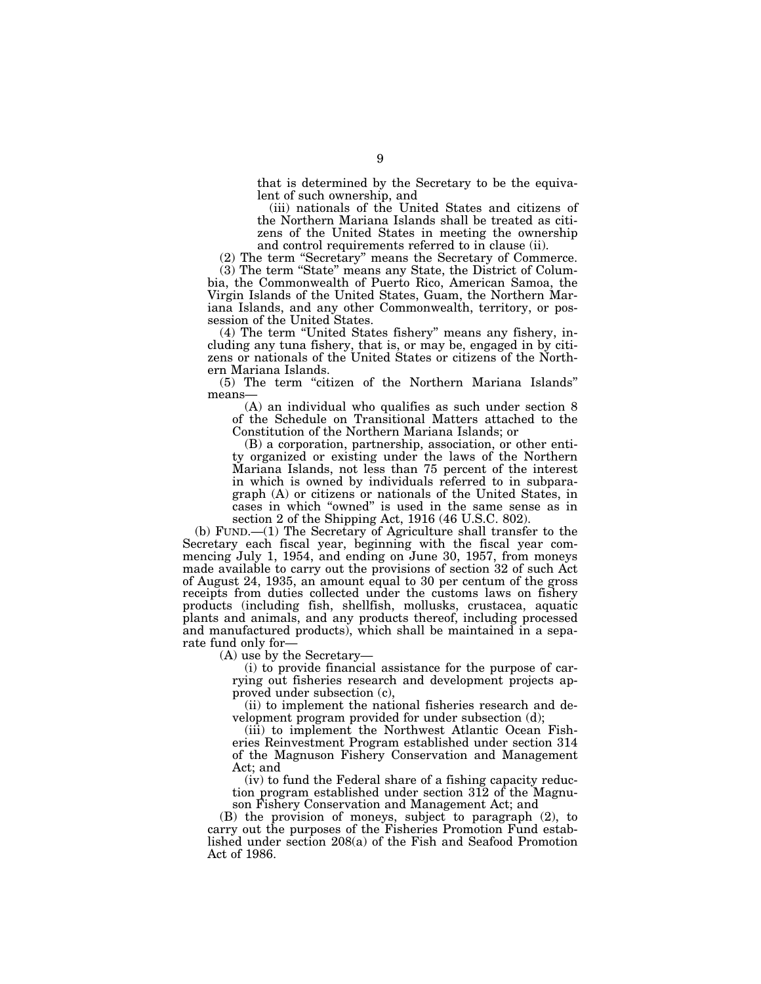that is determined by the Secretary to be the equivalent of such ownership, and

(iii) nationals of the United States and citizens of the Northern Mariana Islands shall be treated as citizens of the United States in meeting the ownership and control requirements referred to in clause (ii).

(2) The term ''Secretary'' means the Secretary of Commerce. (3) The term ''State'' means any State, the District of Columbia, the Commonwealth of Puerto Rico, American Samoa, the Virgin Islands of the United States, Guam, the Northern Mariana Islands, and any other Commonwealth, territory, or possession of the United States.

(4) The term ''United States fishery'' means any fishery, including any tuna fishery, that is, or may be, engaged in by citizens or nationals of the United States or citizens of the Northern Mariana Islands.

(5) The term ''citizen of the Northern Mariana Islands'' means—

(A) an individual who qualifies as such under section 8 of the Schedule on Transitional Matters attached to the Constitution of the Northern Mariana Islands; or

(B) a corporation, partnership, association, or other entity organized or existing under the laws of the Northern Mariana Islands, not less than 75 percent of the interest in which is owned by individuals referred to in subparagraph (A) or citizens or nationals of the United States, in cases in which ''owned'' is used in the same sense as in section 2 of the Shipping Act, 1916 (46 U.S.C. 802).

(b) FUND.—(1) The Secretary of Agriculture shall transfer to the Secretary each fiscal year, beginning with the fiscal year commencing July 1, 1954, and ending on June 30, 1957, from moneys made available to carry out the provisions of section 32 of such Act of August 24, 1935, an amount equal to 30 per centum of the gross receipts from duties collected under the customs laws on fishery products (including fish, shellfish, mollusks, crustacea, aquatic plants and animals, and any products thereof, including processed and manufactured products), which shall be maintained in a separate fund only for—

(A) use by the Secretary—

(i) to provide financial assistance for the purpose of carrying out fisheries research and development projects approved under subsection (c),

(ii) to implement the national fisheries research and development program provided for under subsection (d);

(iii) to implement the Northwest Atlantic Ocean Fisheries Reinvestment Program established under section 314 of the Magnuson Fishery Conservation and Management Act; and

(iv) to fund the Federal share of a fishing capacity reduction program established under section 312 of the Magnuson Fishery Conservation and Management Act; and

(B) the provision of moneys, subject to paragraph (2), to carry out the purposes of the Fisheries Promotion Fund established under section 208(a) of the Fish and Seafood Promotion Act of 1986.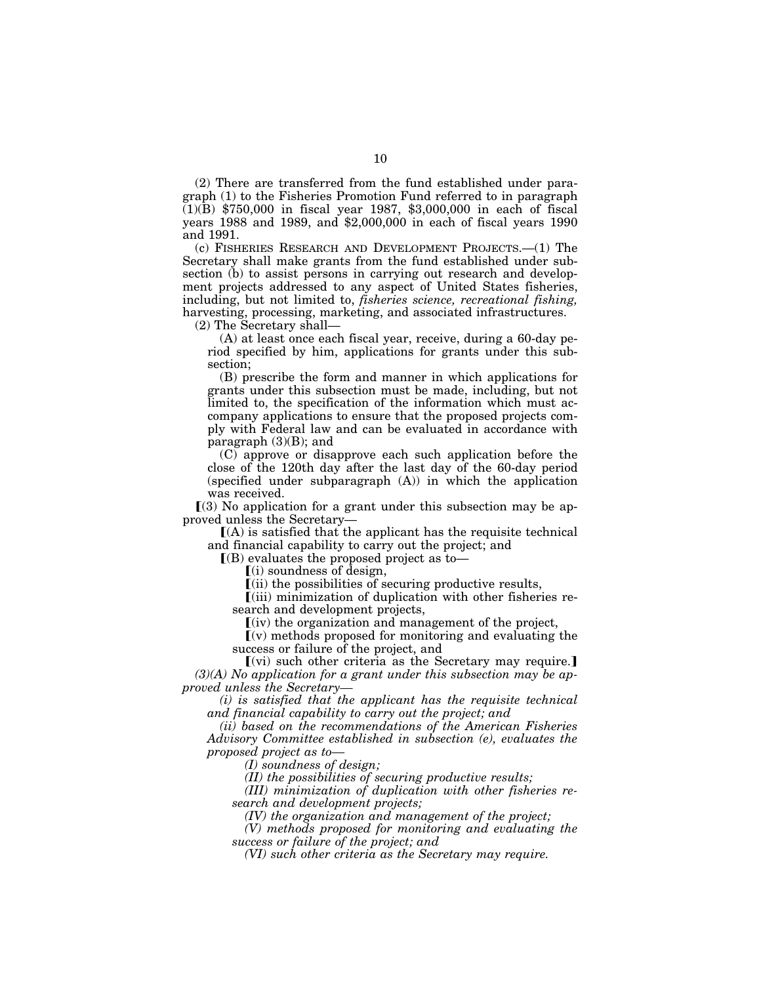(2) There are transferred from the fund established under paragraph (1) to the Fisheries Promotion Fund referred to in paragraph (1)(B) \$750,000 in fiscal year 1987, \$3,000,000 in each of fiscal years 1988 and 1989, and \$2,000,000 in each of fiscal years 1990 and 1991.

(c) FISHERIES RESEARCH AND DEVELOPMENT PROJECTS.—(1) The Secretary shall make grants from the fund established under subsection (b) to assist persons in carrying out research and development projects addressed to any aspect of United States fisheries, including, but not limited to, *fisheries science, recreational fishing,*  harvesting, processing, marketing, and associated infrastructures.

(2) The Secretary shall—

(A) at least once each fiscal year, receive, during a 60-day period specified by him, applications for grants under this subsection;

(B) prescribe the form and manner in which applications for grants under this subsection must be made, including, but not limited to, the specification of the information which must accompany applications to ensure that the proposed projects comply with Federal law and can be evaluated in accordance with paragraph  $(3)(B)$ ; and

(C) approve or disapprove each such application before the close of the 120th day after the last day of the 60-day period (specified under subparagraph (A)) in which the application was received.

 $(3)$  No application for a grant under this subsection may be approved unless the Secretary—

 $[(A)$  is satisfied that the applicant has the requisite technical and financial capability to carry out the project; and

 $($ B) evaluates the proposed project as to-

 $(i)$  soundness of design,

 $\lceil$ (ii) the possibilities of securing productive results,

 $\lceil$ (iii) minimization of duplication with other fisheries research and development projects,

 $\lceil$ (iv) the organization and management of the project,

 $(v)$  methods proposed for monitoring and evaluating the success or failure of the project, and

 $(vi)$  such other criteria as the Secretary may require. *(3)(A) No application for a grant under this subsection may be approved unless the Secretary—* 

*(i) is satisfied that the applicant has the requisite technical and financial capability to carry out the project; and* 

*(ii) based on the recommendations of the American Fisheries Advisory Committee established in subsection (e), evaluates the proposed project as to—* 

*(I) soundness of design;* 

*(II) the possibilities of securing productive results;* 

*(III) minimization of duplication with other fisheries research and development projects;* 

*(IV) the organization and management of the project;* 

*(V) methods proposed for monitoring and evaluating the success or failure of the project; and* 

*(VI) such other criteria as the Secretary may require.*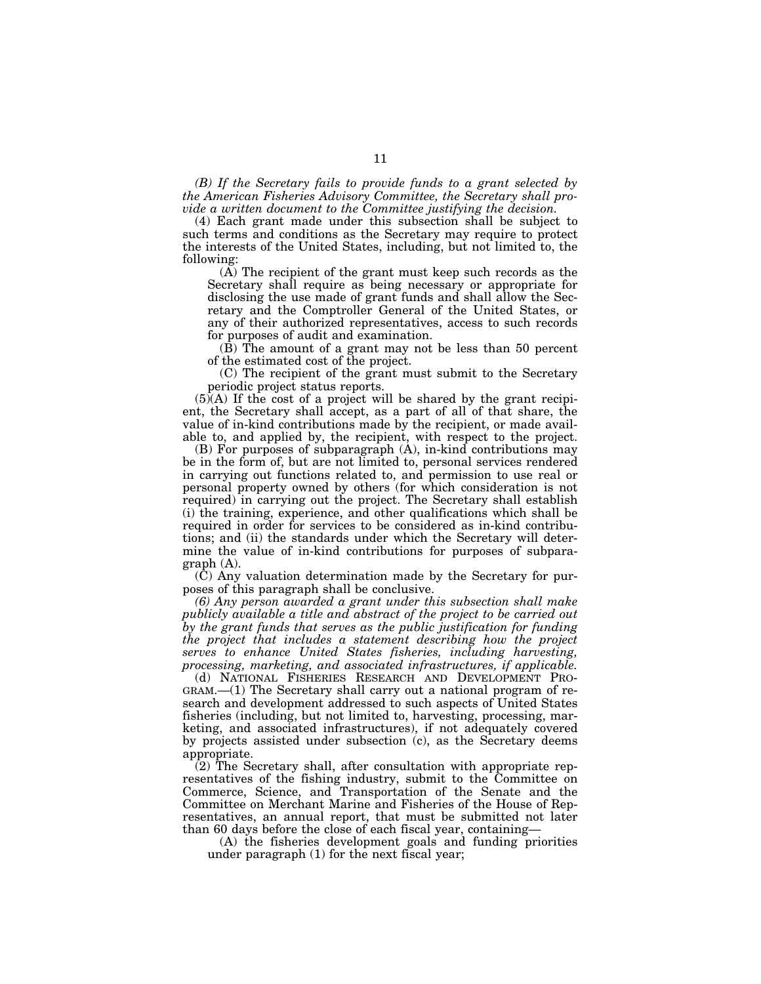*(B) If the Secretary fails to provide funds to a grant selected by the American Fisheries Advisory Committee, the Secretary shall provide a written document to the Committee justifying the decision.* 

(4) Each grant made under this subsection shall be subject to such terms and conditions as the Secretary may require to protect the interests of the United States, including, but not limited to, the following:

(A) The recipient of the grant must keep such records as the Secretary shall require as being necessary or appropriate for disclosing the use made of grant funds and shall allow the Secretary and the Comptroller General of the United States, or any of their authorized representatives, access to such records for purposes of audit and examination.

(B) The amount of a grant may not be less than 50 percent of the estimated cost of the project.

(C) The recipient of the grant must submit to the Secretary periodic project status reports.

(5)(A) If the cost of a project will be shared by the grant recipient, the Secretary shall accept, as a part of all of that share, the value of in-kind contributions made by the recipient, or made available to, and applied by, the recipient, with respect to the project.

(B) For purposes of subparagraph (A), in-kind contributions may be in the form of, but are not limited to, personal services rendered in carrying out functions related to, and permission to use real or personal property owned by others (for which consideration is not required) in carrying out the project. The Secretary shall establish (i) the training, experience, and other qualifications which shall be required in order for services to be considered as in-kind contributions; and (ii) the standards under which the Secretary will determine the value of in-kind contributions for purposes of subparagraph (A).

(C) Any valuation determination made by the Secretary for purposes of this paragraph shall be conclusive.

*(6) Any person awarded a grant under this subsection shall make publicly available a title and abstract of the project to be carried out by the grant funds that serves as the public justification for funding the project that includes a statement describing how the project serves to enhance United States fisheries, including harvesting, processing, marketing, and associated infrastructures, if applicable.* 

(d) NATIONAL FISHERIES RESEARCH AND DEVELOPMENT PRO-GRAM.—(1) The Secretary shall carry out a national program of research and development addressed to such aspects of United States fisheries (including, but not limited to, harvesting, processing, marketing, and associated infrastructures), if not adequately covered by projects assisted under subsection (c), as the Secretary deems appropriate.

 $(2)$  The Secretary shall, after consultation with appropriate representatives of the fishing industry, submit to the Committee on Commerce, Science, and Transportation of the Senate and the Committee on Merchant Marine and Fisheries of the House of Representatives, an annual report, that must be submitted not later than 60 days before the close of each fiscal year, containing—

(A) the fisheries development goals and funding priorities under paragraph (1) for the next fiscal year;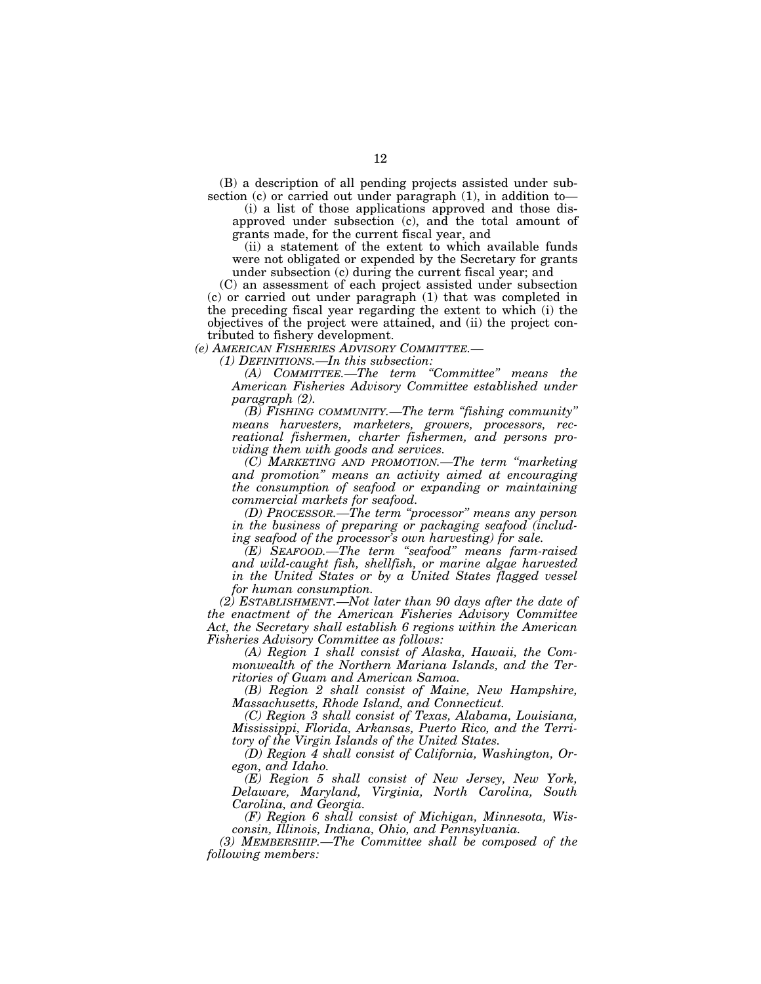(B) a description of all pending projects assisted under subsection (c) or carried out under paragraph (1), in addition to

(i) a list of those applications approved and those disapproved under subsection (c), and the total amount of grants made, for the current fiscal year, and

(ii) a statement of the extent to which available funds were not obligated or expended by the Secretary for grants under subsection (c) during the current fiscal year; and

(C) an assessment of each project assisted under subsection (c) or carried out under paragraph (1) that was completed in the preceding fiscal year regarding the extent to which (i) the objectives of the project were attained, and (ii) the project contributed to fishery development.

*(e) AMERICAN FISHERIES ADVISORY COMMITTEE.—* 

*(1) DEFINITIONS.—In this subsection:* 

*(A) COMMITTEE.—The term ''Committee'' means the American Fisheries Advisory Committee established under paragraph (2).* 

*(B) FISHING COMMUNITY.—The term ''fishing community'' means harvesters, marketers, growers, processors, recreational fishermen, charter fishermen, and persons providing them with goods and services.* 

*(C) MARKETING AND PROMOTION.—The term ''marketing and promotion'' means an activity aimed at encouraging the consumption of seafood or expanding or maintaining commercial markets for seafood.* 

*(D) PROCESSOR.—The term ''processor'' means any person in the business of preparing or packaging seafood (including seafood of the processor's own harvesting) for sale.* 

*(E) SEAFOOD.—The term ''seafood'' means farm-raised and wild-caught fish, shellfish, or marine algae harvested in the United States or by a United States flagged vessel for human consumption.* 

*(2) ESTABLISHMENT.—Not later than 90 days after the date of the enactment of the American Fisheries Advisory Committee Act, the Secretary shall establish 6 regions within the American Fisheries Advisory Committee as follows:* 

*(A) Region 1 shall consist of Alaska, Hawaii, the Commonwealth of the Northern Mariana Islands, and the Territories of Guam and American Samoa.* 

*(B) Region 2 shall consist of Maine, New Hampshire, Massachusetts, Rhode Island, and Connecticut.* 

*(C) Region 3 shall consist of Texas, Alabama, Louisiana, Mississippi, Florida, Arkansas, Puerto Rico, and the Territory of the Virgin Islands of the United States.* 

*(D) Region 4 shall consist of California, Washington, Oregon, and Idaho.* 

*(E) Region 5 shall consist of New Jersey, New York, Delaware, Maryland, Virginia, North Carolina, South Carolina, and Georgia.* 

*(F) Region 6 shall consist of Michigan, Minnesota, Wisconsin, Illinois, Indiana, Ohio, and Pennsylvania.* 

*(3) MEMBERSHIP.—The Committee shall be composed of the following members:*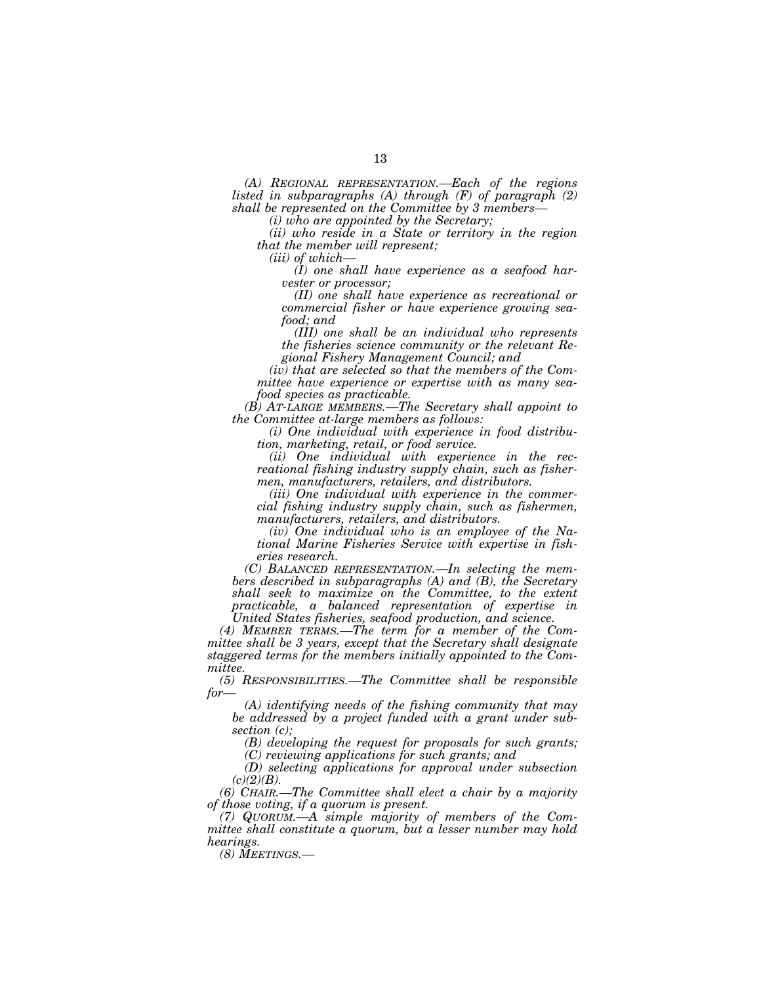*(A) REGIONAL REPRESENTATION.—Each of the regions listed in subparagraphs (A) through (F) of paragraph (2) shall be represented on the Committee by 3 members—* 

*(i) who are appointed by the Secretary;* 

*(ii) who reside in a State or territory in the region that the member will represent;* 

*(iii) of which—* 

*(I) one shall have experience as a seafood harvester or processor;* 

*(II) one shall have experience as recreational or commercial fisher or have experience growing seafood; and* 

*(III) one shall be an individual who represents the fisheries science community or the relevant Regional Fishery Management Council; and* 

*(iv) that are selected so that the members of the Committee have experience or expertise with as many seafood species as practicable.* 

*(B) AT-LARGE MEMBERS.—The Secretary shall appoint to the Committee at-large members as follows:* 

*(i) One individual with experience in food distribution, marketing, retail, or food service.* 

*(ii) One individual with experience in the recreational fishing industry supply chain, such as fishermen, manufacturers, retailers, and distributors.* 

*(iii) One individual with experience in the commercial fishing industry supply chain, such as fishermen, manufacturers, retailers, and distributors.* 

*(iv) One individual who is an employee of the National Marine Fisheries Service with expertise in fisheries research.* 

*(C) BALANCED REPRESENTATION.—In selecting the members described in subparagraphs (A) and (B), the Secretary shall seek to maximize on the Committee, to the extent practicable, a balanced representation of expertise in United States fisheries, seafood production, and science.* 

*(4) MEMBER TERMS.—The term for a member of the Committee shall be 3 years, except that the Secretary shall designate staggered terms for the members initially appointed to the Committee.* 

*(5) RESPONSIBILITIES.—The Committee shall be responsible for—* 

*(A) identifying needs of the fishing community that may be addressed by a project funded with a grant under subsection (c);* 

*(B) developing the request for proposals for such grants; (C) reviewing applications for such grants; and* 

*(D) selecting applications for approval under subsection (c)(2)(B).* 

*(6) CHAIR.—The Committee shall elect a chair by a majority of those voting, if a quorum is present.* 

*(7) QUORUM.—A simple majority of members of the Committee shall constitute a quorum, but a lesser number may hold hearings.* 

*(8) MEETINGS.—*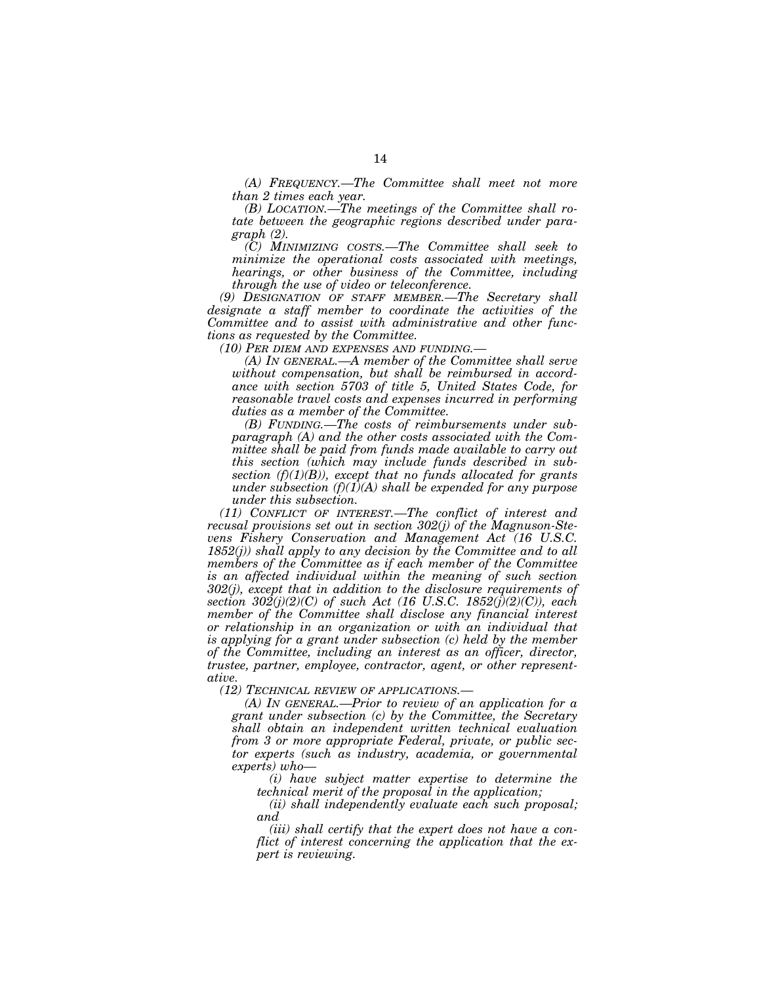*(A) FREQUENCY.—The Committee shall meet not more than 2 times each year.* 

*(B) LOCATION.—The meetings of the Committee shall rotate between the geographic regions described under paragraph (2).* 

*(C) MINIMIZING COSTS.—The Committee shall seek to minimize the operational costs associated with meetings, hearings, or other business of the Committee, including through the use of video or teleconference.* 

*(9) DESIGNATION OF STAFF MEMBER.—The Secretary shall designate a staff member to coordinate the activities of the Committee and to assist with administrative and other functions as requested by the Committee.* 

*(10) PER DIEM AND EXPENSES AND FUNDING.—* 

*(A) IN GENERAL.—A member of the Committee shall serve without compensation, but shall be reimbursed in accordance with section 5703 of title 5, United States Code, for reasonable travel costs and expenses incurred in performing duties as a member of the Committee.* 

*(B) FUNDING.—The costs of reimbursements under subparagraph (A) and the other costs associated with the Committee shall be paid from funds made available to carry out this section (which may include funds described in subsection (f)(1)(B)), except that no funds allocated for grants under subsection (f)(1)(A) shall be expended for any purpose under this subsection.* 

*(11) CONFLICT OF INTEREST.—The conflict of interest and recusal provisions set out in section 302(j) of the Magnuson-Stevens Fishery Conservation and Management Act (16 U.S.C. 1852(j)) shall apply to any decision by the Committee and to all members of the Committee as if each member of the Committee is an affected individual within the meaning of such section 302(j), except that in addition to the disclosure requirements of section 302(j)(2)(C) of such Act (16 U.S.C. 1852(j)(2)(C)), each member of the Committee shall disclose any financial interest or relationship in an organization or with an individual that is applying for a grant under subsection (c) held by the member of the Committee, including an interest as an officer, director, trustee, partner, employee, contractor, agent, or other representative.* 

*(12) TECHNICAL REVIEW OF APPLICATIONS.—* 

*(A) IN GENERAL.—Prior to review of an application for a grant under subsection (c) by the Committee, the Secretary shall obtain an independent written technical evaluation from 3 or more appropriate Federal, private, or public sector experts (such as industry, academia, or governmental experts) who—* 

*(i) have subject matter expertise to determine the technical merit of the proposal in the application;* 

*(ii) shall independently evaluate each such proposal; and* 

*(iii) shall certify that the expert does not have a conflict of interest concerning the application that the expert is reviewing.*